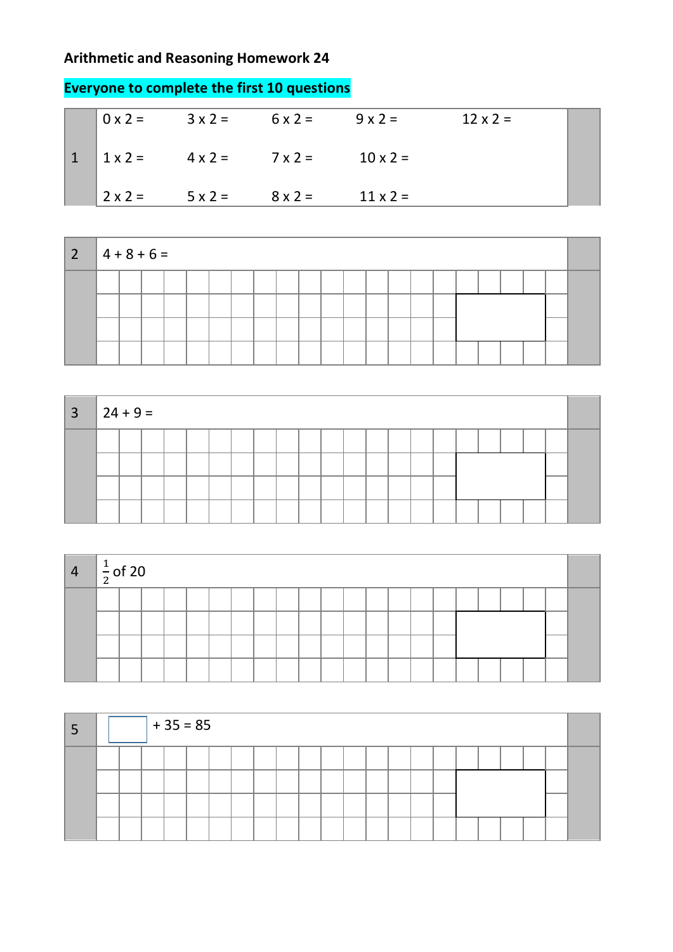## **Arithmetic and Reasoning Homework 24**

|   |                |                     | $0x2 = 3x2 = 6x2 = 9x2 =$ |                 | $12 \times 2 =$ |  |
|---|----------------|---------------------|---------------------------|-----------------|-----------------|--|
| 1 |                | $1x2 = 4x2 = 7x2 =$ |                           | $10 \times 2 =$ |                 |  |
|   | $2 \times 2 =$ | $5 \times 2 =$      | $8 \times 2 =$            | $11 \times 2 =$ |                 |  |

| 2 |  | $4 + 8 + 6 =$ |  |  |  |  |  |  |  |  |  |  |  |  |  |  |  |  |  |
|---|--|---------------|--|--|--|--|--|--|--|--|--|--|--|--|--|--|--|--|--|
|   |  |               |  |  |  |  |  |  |  |  |  |  |  |  |  |  |  |  |  |
|   |  |               |  |  |  |  |  |  |  |  |  |  |  |  |  |  |  |  |  |
|   |  |               |  |  |  |  |  |  |  |  |  |  |  |  |  |  |  |  |  |
|   |  |               |  |  |  |  |  |  |  |  |  |  |  |  |  |  |  |  |  |

| $\overline{3}$ |  | $ 24 + 9 =$ |  |  |  |  |  |  |  |  |  |  |  |  |  |  |  |  |  |
|----------------|--|-------------|--|--|--|--|--|--|--|--|--|--|--|--|--|--|--|--|--|
|                |  |             |  |  |  |  |  |  |  |  |  |  |  |  |  |  |  |  |  |
|                |  |             |  |  |  |  |  |  |  |  |  |  |  |  |  |  |  |  |  |
|                |  |             |  |  |  |  |  |  |  |  |  |  |  |  |  |  |  |  |  |
|                |  |             |  |  |  |  |  |  |  |  |  |  |  |  |  |  |  |  |  |

| $\overline{4}$ | $\frac{1}{2}$ of 20 |  |  |  |  |  |  |  |  |  |  |  |
|----------------|---------------------|--|--|--|--|--|--|--|--|--|--|--|
|                |                     |  |  |  |  |  |  |  |  |  |  |  |
|                |                     |  |  |  |  |  |  |  |  |  |  |  |
|                |                     |  |  |  |  |  |  |  |  |  |  |  |
|                |                     |  |  |  |  |  |  |  |  |  |  |  |

|  |  | $+35=85$ |  |  |  |  |  |  |  |  |  |
|--|--|----------|--|--|--|--|--|--|--|--|--|
|  |  |          |  |  |  |  |  |  |  |  |  |
|  |  |          |  |  |  |  |  |  |  |  |  |

## **Everyone to complete the first 10 questions**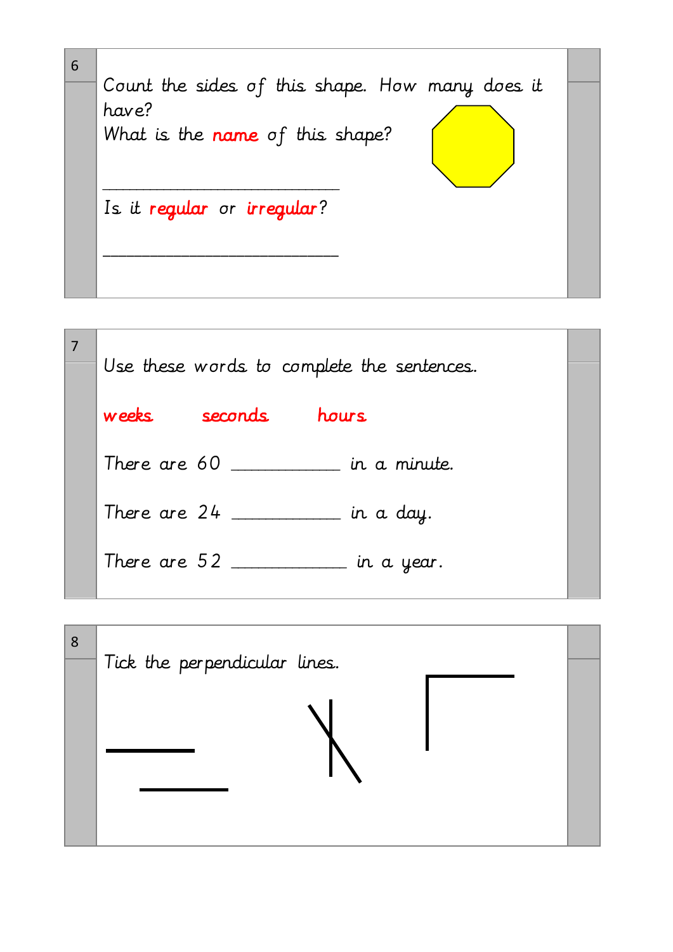

|  |       |                                                 | Use these words to complete the sentences. |  |
|--|-------|-------------------------------------------------|--------------------------------------------|--|
|  | weeks | seconds                                         | hours.                                     |  |
|  |       |                                                 | There are 60 ________ in a minute.         |  |
|  |       |                                                 | There are $24$ ________ in a day.          |  |
|  |       | There are $52$ $\_\_\_\_\_\_\_\_\_\_\_\_\_\_\_$ | $\_$ in a year.                            |  |
|  |       |                                                 |                                            |  |

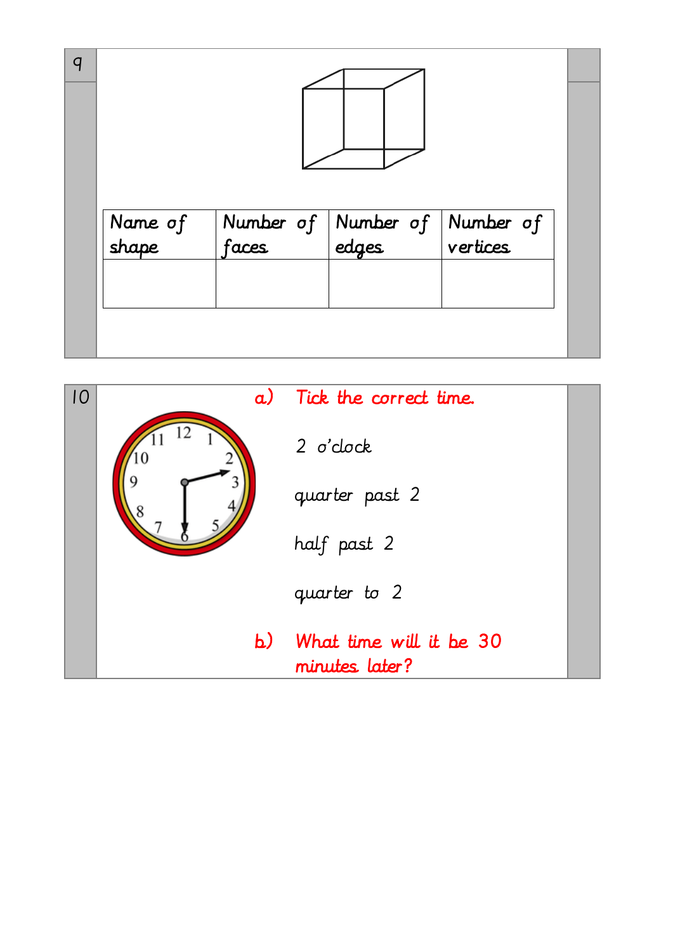| q |                  |                                                        |  |
|---|------------------|--------------------------------------------------------|--|
|   | Name of<br>shape | Number of Number of Number of<br>faces dedges vertices |  |
|   |                  |                                                        |  |

| IO | a) | Tick the correct time.                    |  |
|----|----|-------------------------------------------|--|
|    |    | $2$ $o'$ clock                            |  |
|    |    | quarter past 2                            |  |
|    |    | half past 2                               |  |
|    |    | quarter to 2                              |  |
|    | b) | What time will it be 30<br>minutes later? |  |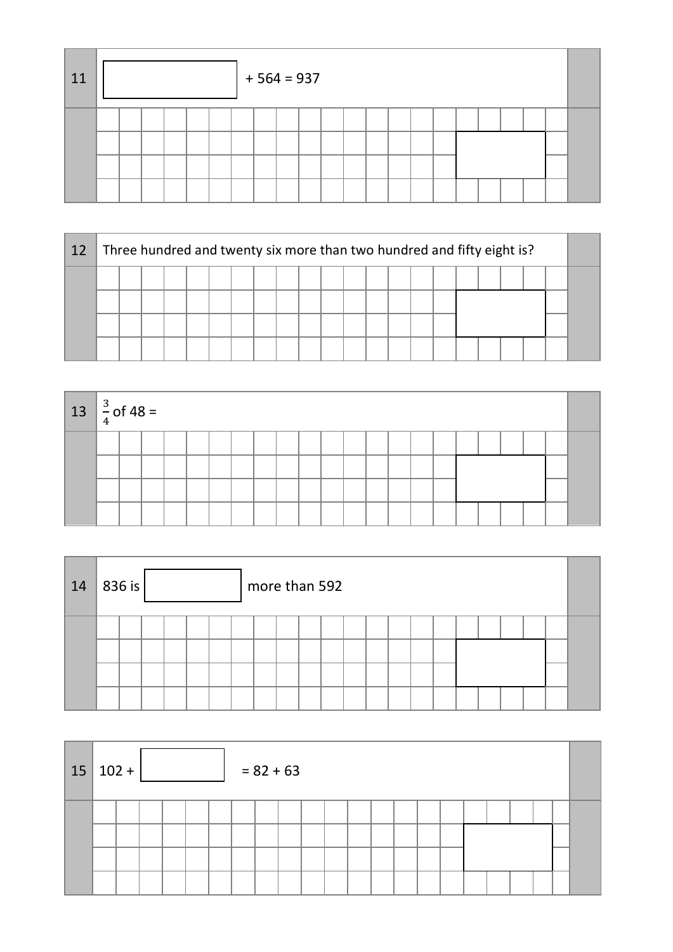| 11 |  |  |  | $+564=937$ |  |  |  |  |  |  |  |
|----|--|--|--|------------|--|--|--|--|--|--|--|
|    |  |  |  |            |  |  |  |  |  |  |  |

| 12 |  |  |  |  |  |  |  |  |  |  |  |  |  |  | Three hundred and twenty six more than two hundred and fifty eight is? |  |  |  |  |
|----|--|--|--|--|--|--|--|--|--|--|--|--|--|--|------------------------------------------------------------------------|--|--|--|--|
|    |  |  |  |  |  |  |  |  |  |  |  |  |  |  |                                                                        |  |  |  |  |
|    |  |  |  |  |  |  |  |  |  |  |  |  |  |  |                                                                        |  |  |  |  |
|    |  |  |  |  |  |  |  |  |  |  |  |  |  |  |                                                                        |  |  |  |  |
|    |  |  |  |  |  |  |  |  |  |  |  |  |  |  |                                                                        |  |  |  |  |

| $13 \left  \frac{3}{4} \right.$ of 48 = |  |  |  |  |  |  |  |  |  |  |  |  |  |  |  |  |  |  |  |
|-----------------------------------------|--|--|--|--|--|--|--|--|--|--|--|--|--|--|--|--|--|--|--|
|                                         |  |  |  |  |  |  |  |  |  |  |  |  |  |  |  |  |  |  |  |
|                                         |  |  |  |  |  |  |  |  |  |  |  |  |  |  |  |  |  |  |  |
|                                         |  |  |  |  |  |  |  |  |  |  |  |  |  |  |  |  |  |  |  |
|                                         |  |  |  |  |  |  |  |  |  |  |  |  |  |  |  |  |  |  |  |

| 14 | $ 836$ is $ $ |  |  | more than 592 |  |  |  |  |  |  |  |
|----|---------------|--|--|---------------|--|--|--|--|--|--|--|
|    |               |  |  |               |  |  |  |  |  |  |  |

| $15 102+$ |  |  |  | $= 82 + 63$ |  |  |  |  |  |  |  |
|-----------|--|--|--|-------------|--|--|--|--|--|--|--|
|           |  |  |  |             |  |  |  |  |  |  |  |
|           |  |  |  |             |  |  |  |  |  |  |  |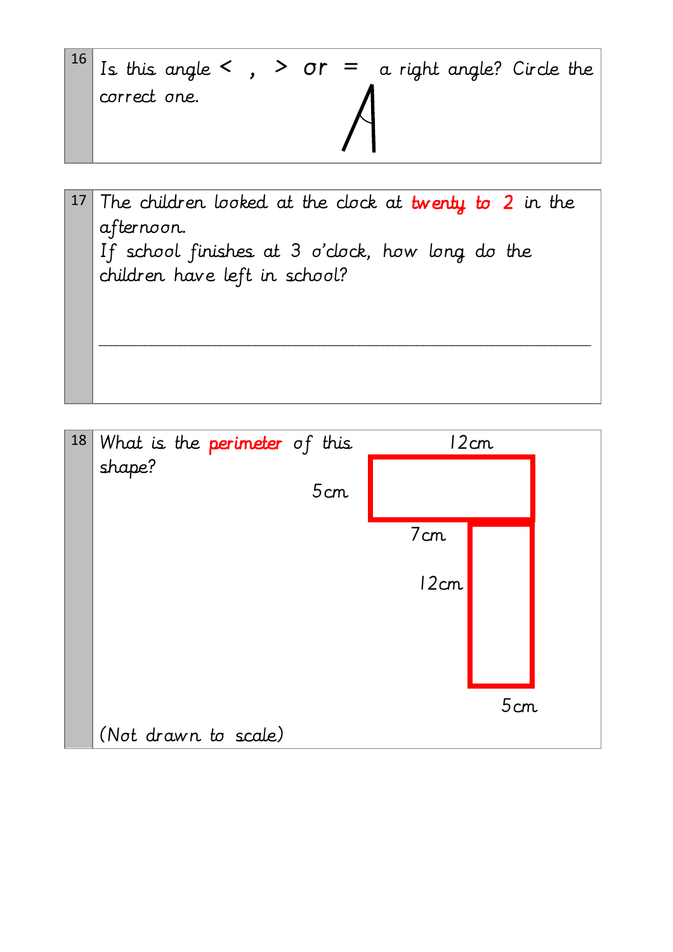| $\begin{vmatrix} 16 \\ 15 \end{vmatrix}$ Is this angle < , > or = a right angle? Circle the |  |  |  |  |
|---------------------------------------------------------------------------------------------|--|--|--|--|
| correct one.                                                                                |  |  |  |  |

17 The children looked at the clock at twenty to 2 in the afternoon. If school finishes at 3 o'clock, how long do the children have left in school? \_\_\_\_\_\_\_\_\_\_\_\_\_\_\_\_\_\_\_\_\_\_\_\_\_\_\_\_\_\_\_\_\_\_\_\_\_\_\_\_\_\_\_\_\_\_\_\_\_\_\_\_\_\_\_\_\_\_\_\_\_\_\_\_\_\_\_\_\_\_\_\_\_\_\_\_\_\_\_\_\_\_\_\_\_

| 18 | What is the <b>perimeter</b> of this |      | 12cm |
|----|--------------------------------------|------|------|
|    | shape?<br>5cm                        |      |      |
|    |                                      |      |      |
|    |                                      | 7cm  |      |
|    |                                      | 12cm |      |
|    |                                      |      |      |
|    |                                      |      |      |
|    |                                      |      | 5cm  |
|    | (Not drawn to scale)                 |      |      |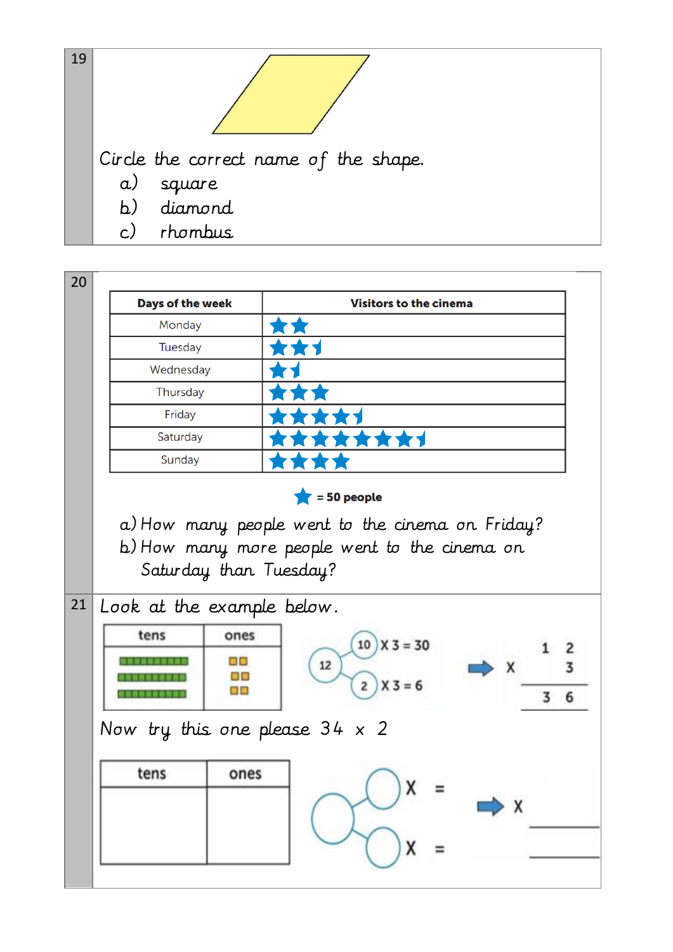

|    | <b>Days of the week</b>                       |                         | <b>Visitors to the cinema</b>                        |                              |
|----|-----------------------------------------------|-------------------------|------------------------------------------------------|------------------------------|
|    | Monday                                        |                         |                                                      |                              |
|    | Tuesday                                       |                         |                                                      |                              |
|    | Wednesday                                     |                         |                                                      |                              |
|    | Thursday                                      |                         |                                                      |                              |
|    | Friday                                        |                         |                                                      |                              |
|    | Saturday                                      |                         | 食食                                                   |                              |
|    | Sunday                                        |                         |                                                      |                              |
|    |                                               |                         | $= 50$ people                                        |                              |
|    | Saturday than Tuesday?                        |                         | b) How many more people went to the cinema on        |                              |
|    | Look at the example below.<br>tens<br>,,,,,,, | ones<br>目前<br>a c<br>80 | $10$ $X$ 3 = 30<br>12<br>$X_3 = 6$<br>$\overline{2}$ | 2<br>$\times$<br>3<br>6<br>3 |
| 21 | Now try this one please $34 \times 2$         |                         |                                                      |                              |